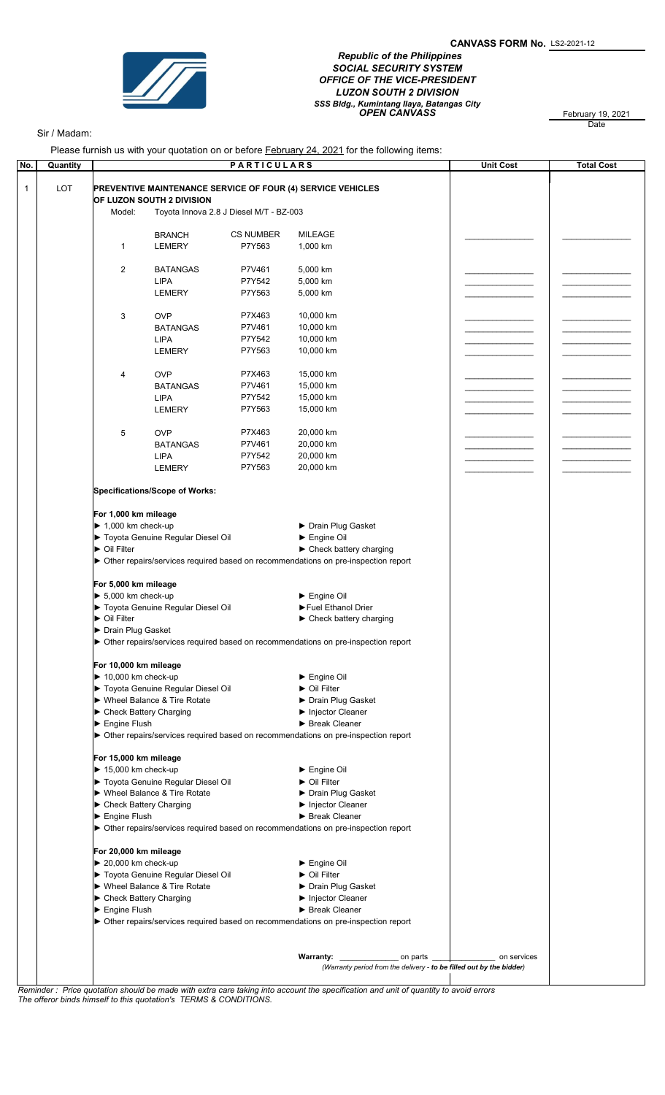

 Republic of the Philippines SOCIAL SECURITY SYSTEM OFFICE OF THE VICE-PRESIDENT LUZON SOUTH 2 DIVISION SSS Bldg., Kumintang Ilaya, Batangas City<br>**OPEN CANVASS** February 19, 2021

February 19, 2021<br>Date

## Sir / Madam:

Please furnish us with your quotation on or before **February 24, 2021** for the following items:

| Quantity | $\frac{1}{2}$ . The state of the state of the state of the state of the state $\frac{1}{2}$ is the state of the state of the state of the state of the state of the state of the state of the state of the state of the state of the<br><b>PARTICULARS</b> |                                       |                                         |                                                                                     |  | <b>Unit Cost</b> | <b>Total Cost</b> |
|----------|------------------------------------------------------------------------------------------------------------------------------------------------------------------------------------------------------------------------------------------------------------|---------------------------------------|-----------------------------------------|-------------------------------------------------------------------------------------|--|------------------|-------------------|
| LOT      | <b>PREVENTIVE MAINTENANCE SERVICE OF FOUR (4) SERVICE VEHICLES</b><br>OF LUZON SOUTH 2 DIVISION                                                                                                                                                            |                                       |                                         |                                                                                     |  |                  |                   |
|          |                                                                                                                                                                                                                                                            |                                       |                                         |                                                                                     |  |                  |                   |
|          | Model:                                                                                                                                                                                                                                                     |                                       | Toyota Innova 2.8 J Diesel M/T - BZ-003 |                                                                                     |  |                  |                   |
|          |                                                                                                                                                                                                                                                            |                                       |                                         |                                                                                     |  |                  |                   |
|          |                                                                                                                                                                                                                                                            | <b>BRANCH</b>                         | <b>CS NUMBER</b>                        | <b>MILEAGE</b>                                                                      |  |                  |                   |
|          | 1                                                                                                                                                                                                                                                          | <b>LEMERY</b>                         | P7Y563                                  | 1,000 km                                                                            |  |                  |                   |
|          | 2                                                                                                                                                                                                                                                          | <b>BATANGAS</b>                       | P7V461                                  | 5,000 km                                                                            |  |                  |                   |
|          |                                                                                                                                                                                                                                                            | <b>LIPA</b>                           | P7Y542                                  | 5,000 km                                                                            |  |                  |                   |
|          |                                                                                                                                                                                                                                                            | <b>LEMERY</b>                         | P7Y563                                  | 5,000 km                                                                            |  |                  |                   |
|          |                                                                                                                                                                                                                                                            |                                       |                                         |                                                                                     |  |                  |                   |
|          | 3                                                                                                                                                                                                                                                          | <b>OVP</b>                            | P7X463                                  | 10,000 km                                                                           |  |                  |                   |
|          |                                                                                                                                                                                                                                                            | <b>BATANGAS</b>                       | P7V461                                  | 10,000 km                                                                           |  |                  |                   |
|          |                                                                                                                                                                                                                                                            | <b>LIPA</b>                           | P7Y542                                  | 10,000 km                                                                           |  |                  |                   |
|          |                                                                                                                                                                                                                                                            | LEMERY                                | P7Y563                                  | 10,000 km                                                                           |  |                  |                   |
|          | 4                                                                                                                                                                                                                                                          | <b>OVP</b>                            | P7X463                                  | 15,000 km                                                                           |  |                  |                   |
|          |                                                                                                                                                                                                                                                            | <b>BATANGAS</b>                       | P7V461                                  | 15,000 km                                                                           |  |                  |                   |
|          |                                                                                                                                                                                                                                                            | <b>LIPA</b>                           | P7Y542                                  | 15,000 km                                                                           |  |                  |                   |
|          |                                                                                                                                                                                                                                                            | <b>LEMERY</b>                         | P7Y563                                  | 15,000 km                                                                           |  |                  |                   |
|          |                                                                                                                                                                                                                                                            |                                       |                                         |                                                                                     |  |                  |                   |
|          | 5                                                                                                                                                                                                                                                          | <b>OVP</b>                            | P7X463                                  | 20,000 km                                                                           |  |                  |                   |
|          |                                                                                                                                                                                                                                                            | <b>BATANGAS</b>                       | P7V461                                  | 20,000 km                                                                           |  |                  |                   |
|          |                                                                                                                                                                                                                                                            | <b>LIPA</b>                           | P7Y542                                  | 20,000 km                                                                           |  |                  |                   |
|          |                                                                                                                                                                                                                                                            | <b>LEMERY</b>                         | P7Y563                                  | 20,000 km                                                                           |  |                  |                   |
|          |                                                                                                                                                                                                                                                            | <b>Specifications/Scope of Works:</b> |                                         |                                                                                     |  |                  |                   |
|          |                                                                                                                                                                                                                                                            |                                       |                                         |                                                                                     |  |                  |                   |
|          | For 1,000 km mileage                                                                                                                                                                                                                                       |                                       |                                         |                                                                                     |  |                  |                   |
|          | $\blacktriangleright$ 1,000 km check-up                                                                                                                                                                                                                    |                                       |                                         | ▶ Drain Plug Gasket                                                                 |  |                  |                   |
|          |                                                                                                                                                                                                                                                            | Toyota Genuine Regular Diesel Oil     |                                         | Engine Oil                                                                          |  |                  |                   |
|          | ▶ Oil Filter                                                                                                                                                                                                                                               |                                       |                                         | $\blacktriangleright$ Check battery charging                                        |  |                  |                   |
|          |                                                                                                                                                                                                                                                            |                                       |                                         | > Other repairs/services required based on recommendations on pre-inspection report |  |                  |                   |
|          | For 5,000 km mileage                                                                                                                                                                                                                                       |                                       |                                         |                                                                                     |  |                  |                   |
|          | $\blacktriangleright$ 5,000 km check-up                                                                                                                                                                                                                    |                                       |                                         | Engine Oil                                                                          |  |                  |                   |
|          |                                                                                                                                                                                                                                                            | Toyota Genuine Regular Diesel Oil     |                                         | Fuel Ethanol Drier                                                                  |  |                  |                   |
|          | ▶ Oil Filter                                                                                                                                                                                                                                               |                                       |                                         | $\blacktriangleright$ Check battery charging                                        |  |                  |                   |
|          | > Drain Plug Gasket                                                                                                                                                                                                                                        |                                       |                                         |                                                                                     |  |                  |                   |
|          |                                                                                                                                                                                                                                                            |                                       |                                         | > Other repairs/services required based on recommendations on pre-inspection report |  |                  |                   |
|          | For 10,000 km mileage                                                                                                                                                                                                                                      |                                       |                                         |                                                                                     |  |                  |                   |
|          | $\blacktriangleright$ 10,000 km check-up                                                                                                                                                                                                                   |                                       |                                         | $\blacktriangleright$ Engine Oil                                                    |  |                  |                   |
|          |                                                                                                                                                                                                                                                            | Toyota Genuine Regular Diesel Oil     |                                         | ▶ Oil Filter                                                                        |  |                  |                   |
|          |                                                                                                                                                                                                                                                            | ▶ Wheel Balance & Tire Rotate         |                                         | ▶ Drain Plug Gasket                                                                 |  |                  |                   |
|          | ▶ Check Battery Charging                                                                                                                                                                                                                                   |                                       |                                         | Injector Cleaner                                                                    |  |                  |                   |
|          | $\blacktriangleright$ Engine Flush                                                                                                                                                                                                                         |                                       |                                         | Break Cleaner                                                                       |  |                  |                   |
|          |                                                                                                                                                                                                                                                            |                                       |                                         | • Other repairs/services required based on recommendations on pre-inspection report |  |                  |                   |
|          |                                                                                                                                                                                                                                                            |                                       |                                         |                                                                                     |  |                  |                   |
|          | For 15,000 km mileage<br>$\blacktriangleright$ 15,000 km check-up                                                                                                                                                                                          |                                       |                                         | $\blacktriangleright$ Engine Oil                                                    |  |                  |                   |
|          |                                                                                                                                                                                                                                                            | ▶ Toyota Genuine Regular Diesel Oil   |                                         | ▶ Oil Filter                                                                        |  |                  |                   |
|          |                                                                                                                                                                                                                                                            | ▶ Wheel Balance & Tire Rotate         |                                         | ▶ Drain Plug Gasket                                                                 |  |                  |                   |
|          | ▶ Check Battery Charging                                                                                                                                                                                                                                   |                                       |                                         | Injector Cleaner                                                                    |  |                  |                   |
|          | $\blacktriangleright$ Engine Flush                                                                                                                                                                                                                         |                                       |                                         | Break Cleaner                                                                       |  |                  |                   |
|          |                                                                                                                                                                                                                                                            |                                       |                                         | • Other repairs/services required based on recommendations on pre-inspection report |  |                  |                   |
|          |                                                                                                                                                                                                                                                            |                                       |                                         |                                                                                     |  |                  |                   |
|          | For 20,000 km mileage                                                                                                                                                                                                                                      |                                       |                                         |                                                                                     |  |                  |                   |
|          | $\triangleright$ 20,000 km check-up                                                                                                                                                                                                                        |                                       |                                         | $\blacktriangleright$ Engine Oil                                                    |  |                  |                   |
|          |                                                                                                                                                                                                                                                            | Toyota Genuine Regular Diesel Oil     |                                         | $\triangleright$ Oil Filter                                                         |  |                  |                   |
|          |                                                                                                                                                                                                                                                            | ▶ Wheel Balance & Tire Rotate         |                                         | ▶ Drain Plug Gasket                                                                 |  |                  |                   |
|          | ▶ Check Battery Charging<br>$\blacktriangleright$ Engine Flush                                                                                                                                                                                             |                                       |                                         | Injector Cleaner<br>Break Cleaner                                                   |  |                  |                   |
|          |                                                                                                                                                                                                                                                            |                                       |                                         | • Other repairs/services required based on recommendations on pre-inspection report |  |                  |                   |
|          |                                                                                                                                                                                                                                                            |                                       |                                         |                                                                                     |  |                  |                   |
|          |                                                                                                                                                                                                                                                            |                                       |                                         |                                                                                     |  |                  |                   |
|          |                                                                                                                                                                                                                                                            |                                       |                                         |                                                                                     |  | on services      |                   |
|          | (Warranty period from the delivery - to be filled out by the bidder)                                                                                                                                                                                       |                                       |                                         |                                                                                     |  |                  |                   |

The offeror binds himself to this quotation's TERMS & CONDITIONS.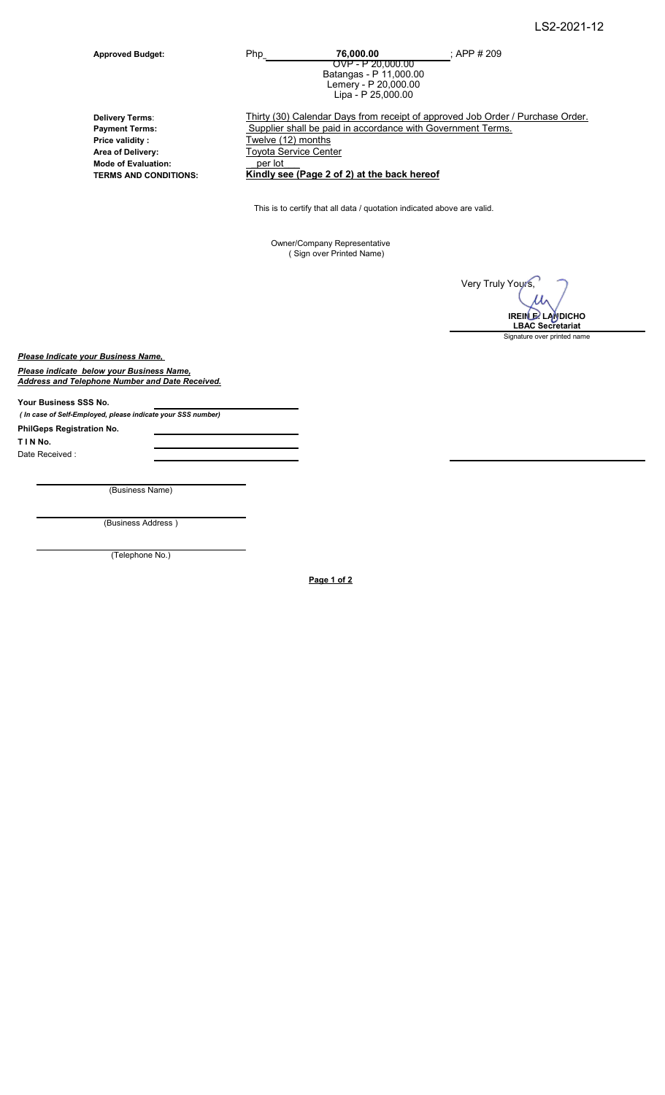Approved Budget: Php\_\_\_\_\_\_\_\_\_\_\_\_\_\_\_\_\_\_\_\_ ; 76,000.00 ; APP # 209 OVP - P 20,000.00 Batangas - P 11,000.00 Lemery - P 20,000.00 Lipa - P 25,000.00

Price validity :<br>
Area of Delivery:<br>
Toyota Service Cent Mode of Evaluation: \_per lot\_\_\_ Delivery Terms:

Thirty (30) Calendar Days from receipt of approved Job Order / Purchase Order. Payment Terms:<br>
Price validity: Twelve (12) months<br>
Twelve (12) months Toyota Service Center

TERMS AND CONDITIONS: Kindly see (Page 2 of 2) at the back hereof

This is to certify that all data / quotation indicated above are valid.

Owner/Company Representative ( Sign over Printed Name)

Very Truly Yours, Signature over printed name IREIN E. LANDICHO LBAC Secretariat

Please Indicate your Business Name,

**Please indicate below your Business Name.** Address and Telephone Number and Date Received.

Your Business SSS No.

( In case of Self-Employed, please indicate your SSS number)

PhilGeps Registration No. T I N No. Date Received :

(Business Name)

(Business Address )

(Telephone No.)

Page 1 of 2